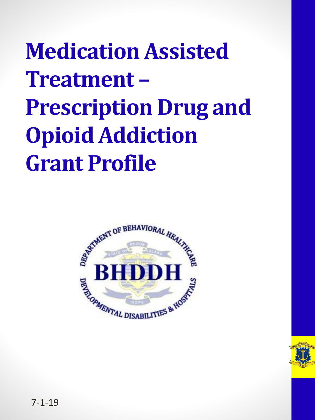### **Medication Assisted Treatment – Prescription Drug and Opioid Addiction Grant Profile**



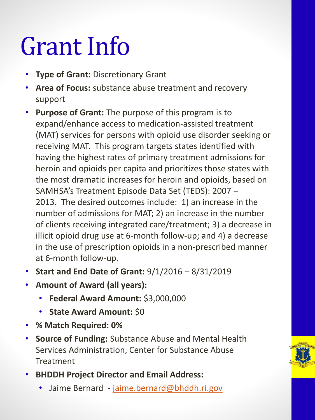## Grant Info

- **Type of Grant: Discretionary Grant**
- **Area of Focus:** substance abuse treatment and recovery support
- **Purpose of Grant:** The purpose of this program is to expand/enhance access to medication-assisted treatment (MAT) services for persons with opioid use disorder seeking or receiving MAT. This program targets states identified with having the highest rates of primary treatment admissions for heroin and opioids per capita and prioritizes those states with the most dramatic increases for heroin and opioids, based on SAMHSA's Treatment Episode Data Set (TEDS): 2007 – 2013. The desired outcomes include: 1) an increase in the number of admissions for MAT; 2) an increase in the number of clients receiving integrated care/treatment; 3) a decrease in illicit opioid drug use at 6-month follow-up; and 4) a decrease in the use of prescription opioids in a non-prescribed manner at 6-month follow-up.
- **Start and End Date of Grant:** 9/1/2016 8/31/2019
- **Amount of Award (all years):**
	- **Federal Award Amount:** \$3,000,000
	- **State Award Amount:** \$0
- **% Match Required: 0%**
- **Source of Funding:** Substance Abuse and Mental Health Services Administration, Center for Substance Abuse **Treatment**
- **BHDDH Project Director and Email Address:** 
	- Jaime Bernard [jaime.bernard@bhddh.ri.gov](mailto:jaime.bernard@bhddh.ri.gov)

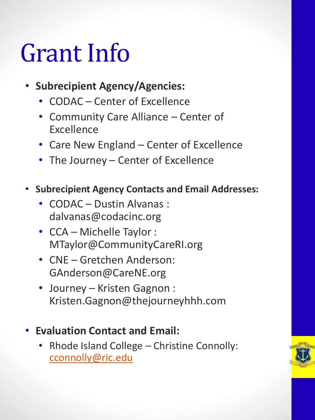### Grant Info

- **Subrecipient Agency/Agencies:** 
	- CODAC Center of Excellence
	- Community Care Alliance Center of Excellence
	- Care New England Center of Excellence
	- The Journey Center of Excellence
- **Subrecipient Agency Contacts and Email Addresses:** 
	- CODAC Dustin Alvanas : dalvanas@codacinc.org
	- CCA Michelle Taylor : MTaylor@CommunityCareRI.org
	- CNE Gretchen Anderson: GAnderson@CareNE.org
	- Journey Kristen Gagnon : Kristen.Gagnon@thejourneyhhh.com
- **Evaluation Contact and Email:** 
	- Rhode Island College Christine Connolly: [cconnolly@ric.edu](mailto:cconnolly@ric.edu)

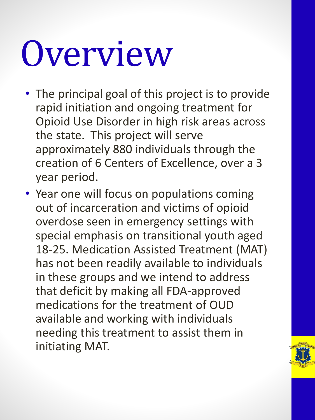# Overview

- The principal goal of this project is to provide rapid initiation and ongoing treatment for Opioid Use Disorder in high risk areas across the state. This project will serve approximately 880 individuals through the creation of 6 Centers of Excellence, over a 3 year period.
- Year one will focus on populations coming out of incarceration and victims of opioid overdose seen in emergency settings with special emphasis on transitional youth aged 18-25. Medication Assisted Treatment (MAT) has not been readily available to individuals in these groups and we intend to address that deficit by making all FDA-approved medications for the treatment of OUD available and working with individuals needing this treatment to assist them in initiating MAT.

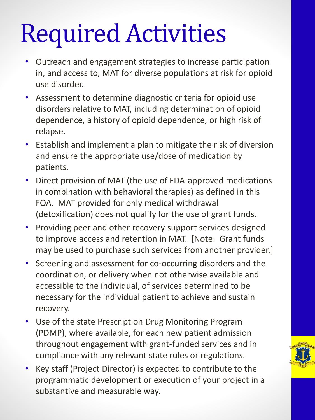# Required Activities

- Outreach and engagement strategies to increase participation in, and access to, MAT for diverse populations at risk for opioid use disorder.
- Assessment to determine diagnostic criteria for opioid use disorders relative to MAT, including determination of opioid dependence, a history of opioid dependence, or high risk of relapse.
- Establish and implement a plan to mitigate the risk of diversion and ensure the appropriate use/dose of medication by patients.
- Direct provision of MAT (the use of FDA-approved medications in combination with behavioral therapies) as defined in this FOA. MAT provided for only medical withdrawal (detoxification) does not qualify for the use of grant funds.
- Providing peer and other recovery support services designed to improve access and retention in MAT. [Note: Grant funds may be used to purchase such services from another provider.]
- Screening and assessment for co-occurring disorders and the coordination, or delivery when not otherwise available and accessible to the individual, of services determined to be necessary for the individual patient to achieve and sustain recovery.
- Use of the state Prescription Drug Monitoring Program (PDMP), where available, for each new patient admission throughout engagement with grant-funded services and in compliance with any relevant state rules or regulations.
- Key staff (Project Director) is expected to contribute to the programmatic development or execution of your project in a substantive and measurable way.

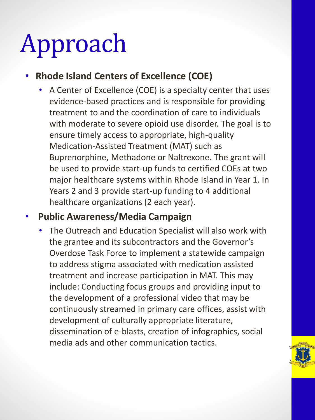# Approach

### • **Rhode Island Centers of Excellence (COE)**

• A Center of Excellence (COE) is a specialty center that uses evidence-based practices and is responsible for providing treatment to and the coordination of care to individuals with moderate to severe opioid use disorder. The goal is to ensure timely access to appropriate, high-quality Medication-Assisted Treatment (MAT) such as Buprenorphine, Methadone or Naltrexone. The grant will be used to provide start-up funds to certified COEs at two major healthcare systems within Rhode Island in Year 1. In Years 2 and 3 provide start-up funding to 4 additional healthcare organizations (2 each year).

#### • **Public Awareness/Media Campaign**

• The Outreach and Education Specialist will also work with the grantee and its subcontractors and the Governor's Overdose Task Force to implement a statewide campaign to address stigma associated with medication assisted treatment and increase participation in MAT. This may include: Conducting focus groups and providing input to the development of a professional video that may be continuously streamed in primary care offices, assist with development of culturally appropriate literature, dissemination of e-blasts, creation of infographics, social media ads and other communication tactics.